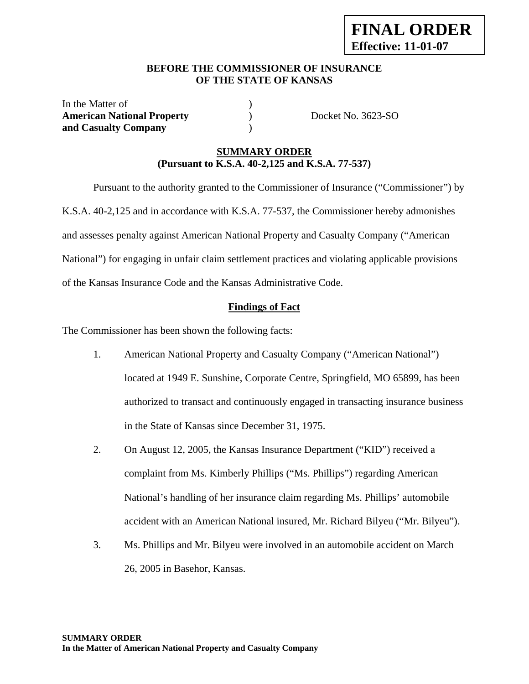### **BEFORE THE COMMISSIONER OF INSURANCE OF THE STATE OF KANSAS**

In the Matter of  $\qquad \qquad$  ) American National Property **(a)** Docket No. 3623-SO **and Casualty Company** )

## **SUMMARY ORDER (Pursuant to K.S.A. 40-2,125 and K.S.A. 77-537)**

 Pursuant to the authority granted to the Commissioner of Insurance ("Commissioner") by K.S.A. 40-2,125 and in accordance with K.S.A. 77-537, the Commissioner hereby admonishes and assesses penalty against American National Property and Casualty Company ("American National") for engaging in unfair claim settlement practices and violating applicable provisions of the Kansas Insurance Code and the Kansas Administrative Code.

## **Findings of Fact**

The Commissioner has been shown the following facts:

- 1. American National Property and Casualty Company ("American National") located at 1949 E. Sunshine, Corporate Centre, Springfield, MO 65899, has been authorized to transact and continuously engaged in transacting insurance business in the State of Kansas since December 31, 1975.
- 2. On August 12, 2005, the Kansas Insurance Department ("KID") received a complaint from Ms. Kimberly Phillips ("Ms. Phillips") regarding American National's handling of her insurance claim regarding Ms. Phillips' automobile accident with an American National insured, Mr. Richard Bilyeu ("Mr. Bilyeu").
- 3. Ms. Phillips and Mr. Bilyeu were involved in an automobile accident on March 26, 2005 in Basehor, Kansas.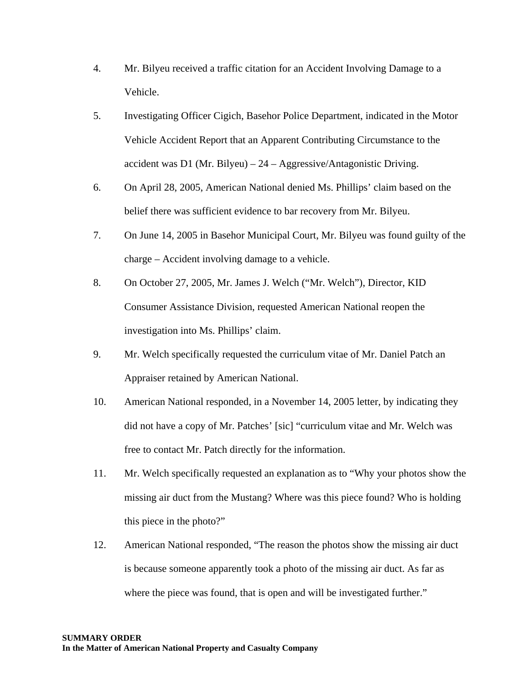- 4. Mr. Bilyeu received a traffic citation for an Accident Involving Damage to a Vehicle.
- 5. Investigating Officer Cigich, Basehor Police Department, indicated in the Motor Vehicle Accident Report that an Apparent Contributing Circumstance to the accident was D1 (Mr. Bilyeu) – 24 – Aggressive/Antagonistic Driving.
- 6. On April 28, 2005, American National denied Ms. Phillips' claim based on the belief there was sufficient evidence to bar recovery from Mr. Bilyeu.
- 7. On June 14, 2005 in Basehor Municipal Court, Mr. Bilyeu was found guilty of the charge – Accident involving damage to a vehicle.
- 8. On October 27, 2005, Mr. James J. Welch ("Mr. Welch"), Director, KID Consumer Assistance Division, requested American National reopen the investigation into Ms. Phillips' claim.
- 9. Mr. Welch specifically requested the curriculum vitae of Mr. Daniel Patch an Appraiser retained by American National.
- 10. American National responded, in a November 14, 2005 letter, by indicating they did not have a copy of Mr. Patches' [sic] "curriculum vitae and Mr. Welch was free to contact Mr. Patch directly for the information.
- 11. Mr. Welch specifically requested an explanation as to "Why your photos show the missing air duct from the Mustang? Where was this piece found? Who is holding this piece in the photo?"
- 12. American National responded, "The reason the photos show the missing air duct is because someone apparently took a photo of the missing air duct. As far as where the piece was found, that is open and will be investigated further."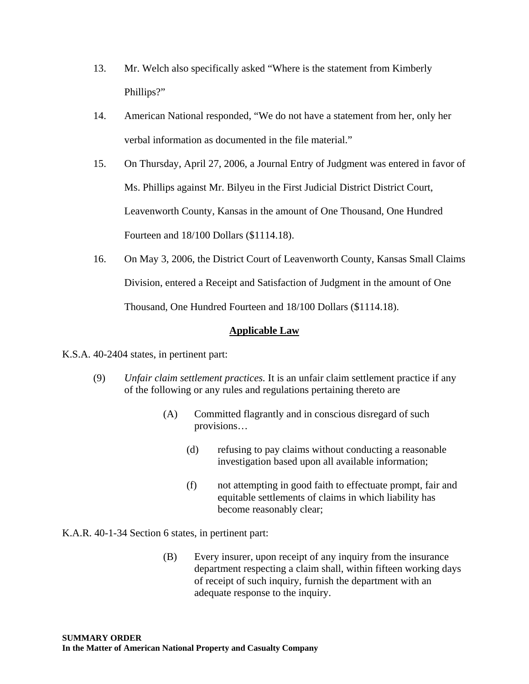- 13. Mr. Welch also specifically asked "Where is the statement from Kimberly Phillips?"
- 14. American National responded, "We do not have a statement from her, only her verbal information as documented in the file material."
- 15. On Thursday, April 27, 2006, a Journal Entry of Judgment was entered in favor of Ms. Phillips against Mr. Bilyeu in the First Judicial District District Court, Leavenworth County, Kansas in the amount of One Thousand, One Hundred Fourteen and 18/100 Dollars (\$1114.18).
- 16. On May 3, 2006, the District Court of Leavenworth County, Kansas Small Claims Division, entered a Receipt and Satisfaction of Judgment in the amount of One Thousand, One Hundred Fourteen and 18/100 Dollars (\$1114.18).

## **Applicable Law**

#### K.S.A. 40-2404 states, in pertinent part:

- (9) *Unfair claim settlement practices.* It is an unfair claim settlement practice if any of the following or any rules and regulations pertaining thereto are
	- (A) Committed flagrantly and in conscious disregard of such provisions…
		- (d) refusing to pay claims without conducting a reasonable investigation based upon all available information;
		- (f) not attempting in good faith to effectuate prompt, fair and equitable settlements of claims in which liability has become reasonably clear;

K.A.R. 40-1-34 Section 6 states, in pertinent part:

(B) Every insurer, upon receipt of any inquiry from the insurance department respecting a claim shall, within fifteen working days of receipt of such inquiry, furnish the department with an adequate response to the inquiry.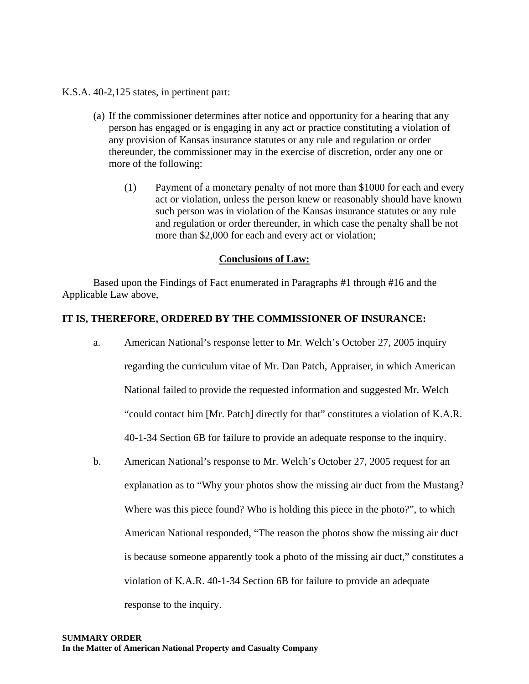K.S.A. 40-2,125 states, in pertinent part:

- (a) If the commissioner determines after notice and opportunity for a hearing that any person has engaged or is engaging in any act or practice constituting a violation of any provision of Kansas insurance statutes or any rule and regulation or order thereunder, the commissioner may in the exercise of discretion, order any one or more of the following:
	- (1) Payment of a monetary penalty of not more than \$1000 for each and every act or violation, unless the person knew or reasonably should have known such person was in violation of the Kansas insurance statutes or any rule and regulation or order thereunder, in which case the penalty shall be not more than \$2,000 for each and every act or violation;

#### **Conclusions of Law:**

 Based upon the Findings of Fact enumerated in Paragraphs #1 through #16 and the Applicable Law above,

#### **IT IS, THEREFORE, ORDERED BY THE COMMISSIONER OF INSURANCE:**

- a. American National's response letter to Mr. Welch's October 27, 2005 inquiry regarding the curriculum vitae of Mr. Dan Patch, Appraiser, in which American National failed to provide the requested information and suggested Mr. Welch "could contact him [Mr. Patch] directly for that" constitutes a violation of K.A.R. 40-1-34 Section 6B for failure to provide an adequate response to the inquiry.
- b. American National's response to Mr. Welch's October 27, 2005 request for an explanation as to "Why your photos show the missing air duct from the Mustang? Where was this piece found? Who is holding this piece in the photo?", to which American National responded, "The reason the photos show the missing air duct is because someone apparently took a photo of the missing air duct," constitutes a violation of K.A.R. 40-1-34 Section 6B for failure to provide an adequate response to the inquiry.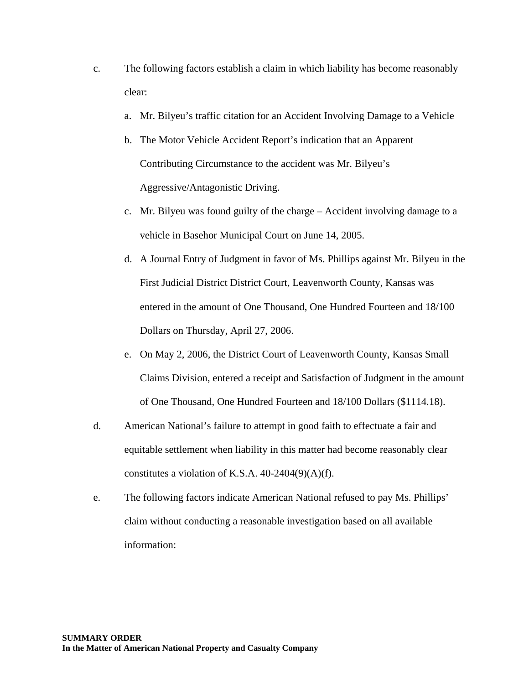- c. The following factors establish a claim in which liability has become reasonably clear:
	- a. Mr. Bilyeu's traffic citation for an Accident Involving Damage to a Vehicle
	- b. The Motor Vehicle Accident Report's indication that an Apparent Contributing Circumstance to the accident was Mr. Bilyeu's Aggressive/Antagonistic Driving.
	- c. Mr. Bilyeu was found guilty of the charge Accident involving damage to a vehicle in Basehor Municipal Court on June 14, 2005.
	- d. A Journal Entry of Judgment in favor of Ms. Phillips against Mr. Bilyeu in the First Judicial District District Court, Leavenworth County, Kansas was entered in the amount of One Thousand, One Hundred Fourteen and 18/100 Dollars on Thursday, April 27, 2006.
	- e. On May 2, 2006, the District Court of Leavenworth County, Kansas Small Claims Division, entered a receipt and Satisfaction of Judgment in the amount of One Thousand, One Hundred Fourteen and 18/100 Dollars (\$1114.18).
- d. American National's failure to attempt in good faith to effectuate a fair and equitable settlement when liability in this matter had become reasonably clear constitutes a violation of K.S.A.  $40-2404(9)(A)(f)$ .
- e. The following factors indicate American National refused to pay Ms. Phillips' claim without conducting a reasonable investigation based on all available information: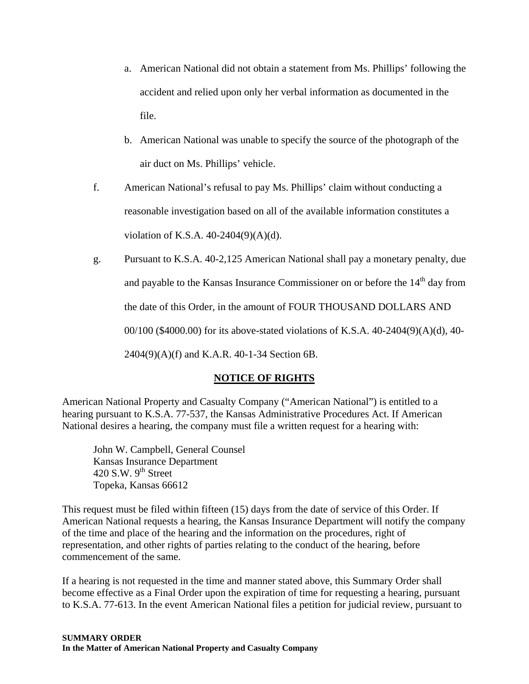- a. American National did not obtain a statement from Ms. Phillips' following the accident and relied upon only her verbal information as documented in the file.
- b. American National was unable to specify the source of the photograph of the air duct on Ms. Phillips' vehicle.
- f. American National's refusal to pay Ms. Phillips' claim without conducting a reasonable investigation based on all of the available information constitutes a violation of K.S.A. 40-2404(9)(A)(d).
- g. Pursuant to K.S.A. 40-2,125 American National shall pay a monetary penalty, due and payable to the Kansas Insurance Commissioner on or before the  $14<sup>th</sup>$  day from the date of this Order, in the amount of FOUR THOUSAND DOLLARS AND 00/100 (\$4000.00) for its above-stated violations of K.S.A. 40-2404(9)(A)(d), 40- 2404(9)(A)(f) and K.A.R. 40-1-34 Section 6B.

# **NOTICE OF RIGHTS**

American National Property and Casualty Company ("American National") is entitled to a hearing pursuant to K.S.A. 77-537, the Kansas Administrative Procedures Act. If American National desires a hearing, the company must file a written request for a hearing with:

 John W. Campbell, General Counsel Kansas Insurance Department 420 S.W.  $9<sup>th</sup>$  Street Topeka, Kansas 66612

This request must be filed within fifteen (15) days from the date of service of this Order. If American National requests a hearing, the Kansas Insurance Department will notify the company of the time and place of the hearing and the information on the procedures, right of representation, and other rights of parties relating to the conduct of the hearing, before commencement of the same.

If a hearing is not requested in the time and manner stated above, this Summary Order shall become effective as a Final Order upon the expiration of time for requesting a hearing, pursuant to K.S.A. 77-613. In the event American National files a petition for judicial review, pursuant to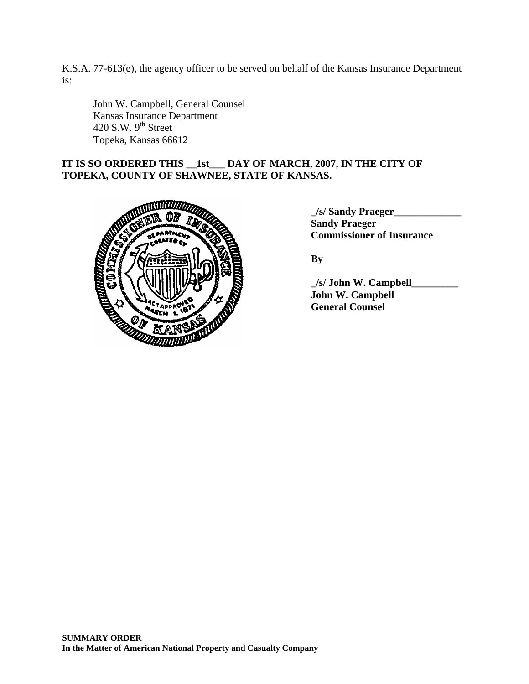K.S.A. 77-613(e), the agency officer to be served on behalf of the Kansas Insurance Department is:

 John W. Campbell, General Counsel Kansas Insurance Department  $420$  S.W.  $9<sup>th</sup>$  Street Topeka, Kansas 66612

# **IT IS SO ORDERED THIS \_\_1st\_\_\_ DAY OF MARCH, 2007, IN THE CITY OF TOPEKA, COUNTY OF SHAWNEE, STATE OF KANSAS.**



 **\_/s/ Sandy Praeger\_\_\_\_\_\_\_\_\_\_\_\_\_ Sandy Praeger** 

 **\_/s/ John W. Campbell\_\_\_\_\_\_\_\_\_ John W. Campbell General Counsel**